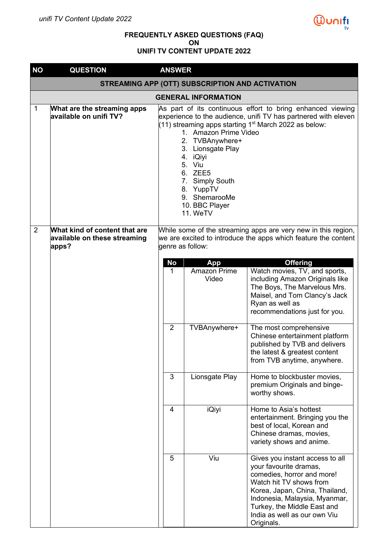

## **FREQUENTLY ASKED QUESTIONS (FAQ) ON UNIFI TV CONTENT UPDATE 2022**

| <b>NO</b>   | <b>QUESTION</b>                                                        | <b>ANSWER</b>                                                                                                                                       |                                                                                                                                                                                                                                                                                                                                                                                    |                                                                                                                                                                                                                                                                    |  |  |  |
|-------------|------------------------------------------------------------------------|-----------------------------------------------------------------------------------------------------------------------------------------------------|------------------------------------------------------------------------------------------------------------------------------------------------------------------------------------------------------------------------------------------------------------------------------------------------------------------------------------------------------------------------------------|--------------------------------------------------------------------------------------------------------------------------------------------------------------------------------------------------------------------------------------------------------------------|--|--|--|
|             |                                                                        |                                                                                                                                                     | STREAMING APP (OTT) SUBSCRIPTION AND ACTIVATION                                                                                                                                                                                                                                                                                                                                    |                                                                                                                                                                                                                                                                    |  |  |  |
|             |                                                                        |                                                                                                                                                     | <b>GENERAL INFORMATION</b>                                                                                                                                                                                                                                                                                                                                                         |                                                                                                                                                                                                                                                                    |  |  |  |
| $\mathbf 1$ | What are the streaming apps<br>available on unifi TV?                  |                                                                                                                                                     | As part of its continuous effort to bring enhanced viewing<br>experience to the audience, unifi TV has partnered with eleven<br>(11) streaming apps starting 1 <sup>st</sup> March 2022 as below:<br>1. Amazon Prime Video<br>2. TVBAnywhere+<br>3. Lionsgate Play<br>4. iQiyi<br>5. Viu<br>6. ZEE5<br>7. Simply South<br>8. YuppTV<br>9. ShemarooMe<br>10. BBC Player<br>11. WeTV |                                                                                                                                                                                                                                                                    |  |  |  |
| 2           | What kind of content that are<br>available on these streaming<br>apps? | While some of the streaming apps are very new in this region,<br>we are excited to introduce the apps which feature the content<br>genre as follow: |                                                                                                                                                                                                                                                                                                                                                                                    |                                                                                                                                                                                                                                                                    |  |  |  |
|             |                                                                        |                                                                                                                                                     |                                                                                                                                                                                                                                                                                                                                                                                    |                                                                                                                                                                                                                                                                    |  |  |  |
|             |                                                                        | <b>No</b><br>App<br><b>Amazon Prime</b><br>1<br>Video                                                                                               |                                                                                                                                                                                                                                                                                                                                                                                    | <b>Offering</b><br>Watch movies, TV, and sports,<br>including Amazon Originals like<br>The Boys, The Marvelous Mrs.<br>Maisel, and Tom Clancy's Jack<br>Ryan as well as<br>recommendations just for you.                                                           |  |  |  |
|             |                                                                        | $\overline{2}$                                                                                                                                      | TVBAnywhere+                                                                                                                                                                                                                                                                                                                                                                       | The most comprehensive<br>Chinese entertainment platform<br>published by TVB and delivers<br>the latest & greatest content<br>from TVB anytime, anywhere.                                                                                                          |  |  |  |
|             |                                                                        | 3<br>Lionsgate Play<br>Home to blockbuster movies,<br>premium Originals and binge-<br>worthy shows.                                                 |                                                                                                                                                                                                                                                                                                                                                                                    |                                                                                                                                                                                                                                                                    |  |  |  |
|             |                                                                        | 4                                                                                                                                                   | Home to Asia's hottest<br>entertainment. Bringing you the<br>best of local, Korean and<br>Chinese dramas, movies,<br>variety shows and anime.                                                                                                                                                                                                                                      |                                                                                                                                                                                                                                                                    |  |  |  |
|             |                                                                        | 5                                                                                                                                                   | Viu                                                                                                                                                                                                                                                                                                                                                                                | Gives you instant access to all<br>your favourite dramas,<br>comedies, horror and more!<br>Watch hit TV shows from<br>Korea, Japan, China, Thailand,<br>Indonesia, Malaysia, Myanmar,<br>Turkey, the Middle East and<br>India as well as our own Viu<br>Originals. |  |  |  |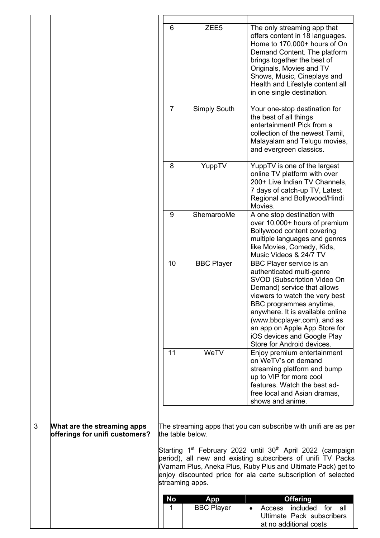|   |                                                               | 6<br>$\overline{7}$ | ZEE <sub>5</sub><br>Simply South | The only streaming app that<br>offers content in 18 languages.<br>Home to 170,000+ hours of On<br>Demand Content. The platform<br>brings together the best of<br>Originals, Movies and TV<br>Shows, Music, Cineplays and<br>Health and Lifestyle content all<br>in one single destination.<br>Your one-stop destination for                       |
|---|---------------------------------------------------------------|---------------------|----------------------------------|---------------------------------------------------------------------------------------------------------------------------------------------------------------------------------------------------------------------------------------------------------------------------------------------------------------------------------------------------|
|   |                                                               |                     |                                  | the best of all things<br>entertainment! Pick from a<br>collection of the newest Tamil,<br>Malayalam and Telugu movies,<br>and evergreen classics.                                                                                                                                                                                                |
|   |                                                               | 8                   | YuppTV                           | YuppTV is one of the largest<br>online TV platform with over<br>200+ Live Indian TV Channels,<br>7 days of catch-up TV, Latest<br>Regional and Bollywood/Hindi<br>Movies.                                                                                                                                                                         |
|   |                                                               | 9                   | ShemarooMe                       | A one stop destination with<br>over 10,000+ hours of premium<br>Bollywood content covering<br>multiple languages and genres<br>like Movies, Comedy, Kids,<br>Music Videos & 24/7 TV                                                                                                                                                               |
|   |                                                               | 10                  | <b>BBC Player</b>                | BBC Player service is an<br>authenticated multi-genre<br>SVOD (Subscription Video On<br>Demand) service that allows<br>viewers to watch the very best<br>BBC programmes anytime,<br>anywhere. It is available online<br>(www.bbcplayer.com), and as<br>an app on Apple App Store for<br>iOS devices and Google Play<br>Store for Android devices. |
|   |                                                               | 11                  | WeTV                             | Enjoy premium entertainment<br>on WeTV's on demand<br>streaming platform and bump<br>up to VIP for more cool<br>features. Watch the best ad-<br>free local and Asian dramas,<br>shows and anime.                                                                                                                                                  |
| 3 | What are the streaming apps<br>offerings for unifi customers? |                     | the table below.                 | The streaming apps that you can subscribe with unifi are as per                                                                                                                                                                                                                                                                                   |
|   |                                                               |                     | streaming apps.                  | Starting 1 <sup>st</sup> February 2022 until 30 <sup>th</sup> April 2022 (campaign<br>period), all new and existing subscribers of unifi TV Packs<br>(Varnam Plus, Aneka Plus, Ruby Plus and Ultimate Pack) get to<br>enjoy discounted price for ala carte subscription of selected                                                               |
|   |                                                               | No                  | <b>App</b>                       | <b>Offering</b>                                                                                                                                                                                                                                                                                                                                   |
|   |                                                               | 1                   | <b>BBC Player</b>                | for<br>all<br>included<br>Access<br>Ultimate Pack subscribers<br>at no additional costs                                                                                                                                                                                                                                                           |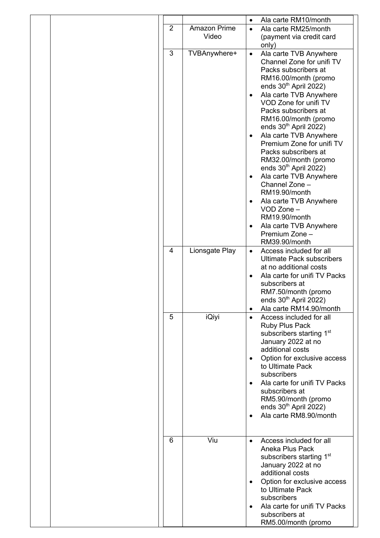|                |                       | Ala carte RM10/month<br>$\bullet$                                                                                                                                                                                                                                                                                                                                                                                                                                                                                                                                                                                         |
|----------------|-----------------------|---------------------------------------------------------------------------------------------------------------------------------------------------------------------------------------------------------------------------------------------------------------------------------------------------------------------------------------------------------------------------------------------------------------------------------------------------------------------------------------------------------------------------------------------------------------------------------------------------------------------------|
| $\overline{2}$ | Amazon Prime<br>Video | Ala carte RM25/month<br>$\bullet$<br>(payment via credit card<br>only)                                                                                                                                                                                                                                                                                                                                                                                                                                                                                                                                                    |
| 3              | TVBAnywhere+          | Ala carte TVB Anywhere<br>$\bullet$<br>Channel Zone for unifi TV<br>Packs subscribers at<br>RM16.00/month (promo<br>ends 30 <sup>th</sup> April 2022)<br>Ala carte TVB Anywhere<br>$\bullet$<br>VOD Zone for unifi TV<br>Packs subscribers at<br>RM16.00/month (promo<br>ends $30th$ April 2022)<br>Ala carte TVB Anywhere<br>$\bullet$<br>Premium Zone for unifi TV<br>Packs subscribers at<br>RM32.00/month (promo<br>ends $30th$ April 2022)<br>Ala carte TVB Anywhere<br>$\bullet$<br>Channel Zone -<br>RM19.90/month<br>Ala carte TVB Anywhere<br>$\bullet$<br>VOD Zone -<br>RM19.90/month<br>Ala carte TVB Anywhere |
|                |                       | Premium Zone -<br>RM39.90/month                                                                                                                                                                                                                                                                                                                                                                                                                                                                                                                                                                                           |
| 4              | Lionsgate Play        | Access included for all<br>$\bullet$<br><b>Ultimate Pack subscribers</b><br>at no additional costs<br>Ala carte for unifi TV Packs<br>$\bullet$<br>subscribers at<br>RM7.50/month (promo<br>ends $30th$ April 2022)                                                                                                                                                                                                                                                                                                                                                                                                       |
| 5              | iQiyi                 | Ala carte RM14.90/month<br>$\bullet$<br>Access included for all<br>$\bullet$<br>Ruby Plus Pack<br>subscribers starting 1 <sup>st</sup><br>January 2022 at no<br>additional costs<br>Option for exclusive access<br>$\bullet$<br>to Ultimate Pack<br>subscribers<br>Ala carte for unifi TV Packs<br>subscribers at<br>RM5.90/month (promo<br>ends $30th$ April 2022)<br>Ala carte RM8.90/month<br>$\bullet$                                                                                                                                                                                                                |
| 6              | Viu                   | Access included for all<br>$\bullet$<br>Aneka Plus Pack<br>subscribers starting 1 <sup>st</sup><br>January 2022 at no<br>additional costs<br>Option for exclusive access<br>$\bullet$<br>to Ultimate Pack<br>subscribers<br>Ala carte for unifi TV Packs<br>subscribers at<br>RM5.00/month (promo                                                                                                                                                                                                                                                                                                                         |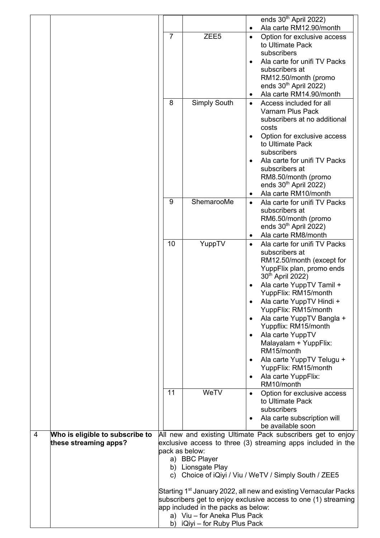|   |                                 |                |                                     | ends $30th$ April 2022)                                                          |
|---|---------------------------------|----------------|-------------------------------------|----------------------------------------------------------------------------------|
|   |                                 |                |                                     | Ala carte RM12.90/month<br>٠                                                     |
|   |                                 | $\overline{7}$ | ZEE <sub>5</sub>                    | Option for exclusive access<br>$\bullet$                                         |
|   |                                 |                |                                     | to Ultimate Pack                                                                 |
|   |                                 |                |                                     | subscribers                                                                      |
|   |                                 |                |                                     | Ala carte for unifi TV Packs                                                     |
|   |                                 |                |                                     | subscribers at                                                                   |
|   |                                 |                |                                     | RM12.50/month (promo<br>ends $30th$ April 2022)                                  |
|   |                                 |                |                                     | Ala carte RM14.90/month<br>٠                                                     |
|   |                                 | 8              | Simply South                        | Access included for all                                                          |
|   |                                 |                |                                     | Varnam Plus Pack                                                                 |
|   |                                 |                |                                     | subscribers at no additional                                                     |
|   |                                 |                |                                     | costs                                                                            |
|   |                                 |                |                                     | Option for exclusive access                                                      |
|   |                                 |                |                                     | to Ultimate Pack                                                                 |
|   |                                 |                |                                     | subscribers<br>Ala carte for unifi TV Packs                                      |
|   |                                 |                |                                     | subscribers at                                                                   |
|   |                                 |                |                                     | RM8.50/month (promo                                                              |
|   |                                 |                |                                     | ends $30th$ April 2022)                                                          |
|   |                                 |                |                                     | Ala carte RM10/month<br>٠                                                        |
|   |                                 | 9              | ShemarooMe                          | Ala carte for unifi TV Packs<br>$\bullet$                                        |
|   |                                 |                |                                     | subscribers at                                                                   |
|   |                                 |                |                                     | RM6.50/month (promo<br>ends 30 <sup>th</sup> April 2022)                         |
|   |                                 |                |                                     | Ala carte RM8/month<br>٠                                                         |
|   |                                 | 10             | YuppTV                              | Ala carte for unifi TV Packs<br>٠                                                |
|   |                                 |                |                                     | subscribers at                                                                   |
|   |                                 |                |                                     | RM12.50/month (except for                                                        |
|   |                                 |                |                                     | YuppFlix plan, promo ends                                                        |
|   |                                 |                |                                     | 30 <sup>th</sup> April 2022)                                                     |
|   |                                 |                |                                     | Ala carte YuppTV Tamil +                                                         |
|   |                                 |                |                                     | YuppFlix: RM15/month                                                             |
|   |                                 |                |                                     | Ala carte YuppTV Hindi +<br>YuppFlix: RM15/month                                 |
|   |                                 |                |                                     | Ala carte YuppTV Bangla +<br>$\bullet$                                           |
|   |                                 |                |                                     | Yuppflix: RM15/month                                                             |
|   |                                 |                |                                     | Ala carte YuppTV                                                                 |
|   |                                 |                |                                     | Malayalam + YuppFlix:                                                            |
|   |                                 |                |                                     | RM15/month                                                                       |
|   |                                 |                |                                     | Ala carte YuppTV Telugu +<br>$\bullet$<br>YuppFlix: RM15/month                   |
|   |                                 |                |                                     | Ala carte YuppFlix:<br>٠                                                         |
|   |                                 |                |                                     | RM10/month                                                                       |
|   |                                 | 11             | WeTV                                | Option for exclusive access<br>$\bullet$                                         |
|   |                                 |                |                                     | to Ultimate Pack                                                                 |
|   |                                 |                |                                     | subscribers                                                                      |
|   |                                 |                |                                     | Ala carte subscription will<br>$\bullet$                                         |
| 4 | Who is eligible to subscribe to |                |                                     | be available soon<br>All new and existing Ultimate Pack subscribers get to enjoy |
|   | these streaming apps?           |                |                                     | exclusive access to three (3) streaming apps included in the                     |
|   |                                 | pack as below: |                                     |                                                                                  |
|   |                                 |                | a) BBC Player                       |                                                                                  |
|   |                                 |                | b) Lionsgate Play                   |                                                                                  |
|   |                                 |                |                                     | c) Choice of iQiyi / Viu / WeTV / Simply South / ZEE5                            |
|   |                                 |                |                                     | Starting 1 <sup>st</sup> January 2022, all new and existing Vernacular Packs     |
|   |                                 |                |                                     | subscribers get to enjoy exclusive access to one (1) streaming                   |
|   |                                 |                | app included in the packs as below: |                                                                                  |
|   |                                 |                | a) Viu - for Aneka Plus Pack        |                                                                                  |
|   |                                 | b)             | iQiyi – for Ruby Plus Pack          |                                                                                  |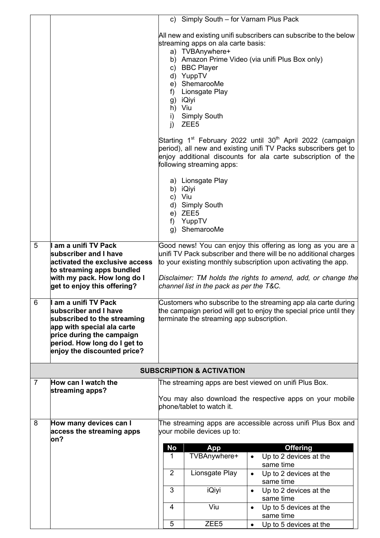|                |                                                                                                                                                                                                      |                                                                                                                                                                                                                                                                                                                                | c) Simply South - for Varnam Plus Pack                                                 |                                                        |  |  |
|----------------|------------------------------------------------------------------------------------------------------------------------------------------------------------------------------------------------------|--------------------------------------------------------------------------------------------------------------------------------------------------------------------------------------------------------------------------------------------------------------------------------------------------------------------------------|----------------------------------------------------------------------------------------|--------------------------------------------------------|--|--|
|                |                                                                                                                                                                                                      | All new and existing unifi subscribers can subscribe to the below<br>streaming apps on ala carte basis:<br>a) TVBAnywhere+<br>b) Amazon Prime Video (via unifi Plus Box only)<br>c) BBC Player<br>d) YuppTV<br>e) ShemarooMe<br>f) Lionsgate Play<br>g) iQiyi<br>h) Viu<br>i)<br><b>Simply South</b><br>j)<br>ZEE <sub>5</sub> |                                                                                        |                                                        |  |  |
|                |                                                                                                                                                                                                      | Starting 1 <sup>st</sup> February 2022 until 30 <sup>th</sup> April 2022 (campaign<br>period), all new and existing unifi TV Packs subscribers get to<br>enjoy additional discounts for ala carte subscription of the<br>following streaming apps:                                                                             |                                                                                        |                                                        |  |  |
|                |                                                                                                                                                                                                      | c) Viu<br>f)                                                                                                                                                                                                                                                                                                                   | a) Lionsgate Play<br>b) iQiyi<br>d) Simply South<br>e) ZEE5<br>YuppTV<br>g) ShemarooMe |                                                        |  |  |
| 5              | am a unifi TV Pack                                                                                                                                                                                   | Good news! You can enjoy this offering as long as you are a<br>unifi TV Pack subscriber and there will be no additional charges                                                                                                                                                                                                |                                                                                        |                                                        |  |  |
|                | subscriber and I have<br>activated the exclusive access                                                                                                                                              | to your existing monthly subscription upon activating the app.                                                                                                                                                                                                                                                                 |                                                                                        |                                                        |  |  |
|                | to streaming apps bundled<br>with my pack. How long do I<br>get to enjoy this offering?                                                                                                              | Disclaimer: TM holds the rights to amend, add, or change the<br>channel list in the pack as per the T&C.                                                                                                                                                                                                                       |                                                                                        |                                                        |  |  |
| 6              | am a unifi TV Pack<br>subscriber and I have<br>subscribed to the streaming<br>app with special ala carte<br>price during the campaign<br>period. How long do I get to<br>enjoy the discounted price? | Customers who subscribe to the streaming app ala carte during<br>the campaign period will get to enjoy the special price until they<br>terminate the streaming app subscription.                                                                                                                                               |                                                                                        |                                                        |  |  |
|                |                                                                                                                                                                                                      |                                                                                                                                                                                                                                                                                                                                | <b>SUBSCRIPTION &amp; ACTIVATION</b>                                                   |                                                        |  |  |
| $\overline{7}$ | How can I watch the                                                                                                                                                                                  |                                                                                                                                                                                                                                                                                                                                |                                                                                        | The streaming apps are best viewed on unifi Plus Box.  |  |  |
|                | streaming apps?                                                                                                                                                                                      | You may also download the respective apps on your mobile<br>phone/tablet to watch it.                                                                                                                                                                                                                                          |                                                                                        |                                                        |  |  |
| 8              | How many devices can I<br>access the streaming apps<br>on?                                                                                                                                           | The streaming apps are accessible across unifi Plus Box and<br>your mobile devices up to:                                                                                                                                                                                                                                      |                                                                                        |                                                        |  |  |
|                |                                                                                                                                                                                                      | <b>No</b><br>1                                                                                                                                                                                                                                                                                                                 | App<br>TVBAnywhere+                                                                    | <b>Offering</b><br>Up to 2 devices at the<br>$\bullet$ |  |  |
|                |                                                                                                                                                                                                      |                                                                                                                                                                                                                                                                                                                                |                                                                                        | same time                                              |  |  |
|                |                                                                                                                                                                                                      | $\overline{2}$                                                                                                                                                                                                                                                                                                                 | Lionsgate Play                                                                         | Up to 2 devices at the<br>$\bullet$<br>same time       |  |  |
|                |                                                                                                                                                                                                      | 3                                                                                                                                                                                                                                                                                                                              | <b>iQiyi</b>                                                                           | Up to 2 devices at the<br>$\bullet$<br>same time       |  |  |
|                |                                                                                                                                                                                                      | 4                                                                                                                                                                                                                                                                                                                              | Viu                                                                                    | Up to 5 devices at the<br>$\bullet$<br>same time       |  |  |
|                |                                                                                                                                                                                                      | 5                                                                                                                                                                                                                                                                                                                              | ZEE <sub>5</sub>                                                                       | Up to 5 devices at the<br>$\bullet$                    |  |  |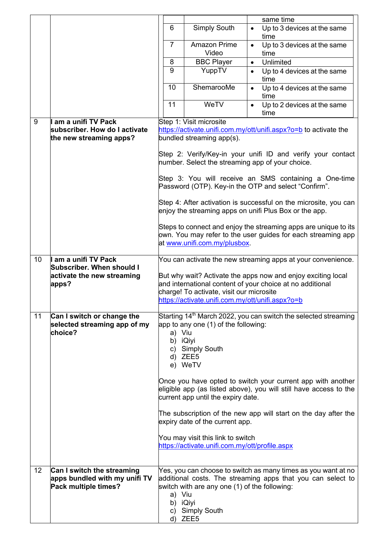|    |                                                                                     |                                                                                                                                                                                                                           |                                                                                                                     | same time                                                                                                                                                                                                       |  |  |
|----|-------------------------------------------------------------------------------------|---------------------------------------------------------------------------------------------------------------------------------------------------------------------------------------------------------------------------|---------------------------------------------------------------------------------------------------------------------|-----------------------------------------------------------------------------------------------------------------------------------------------------------------------------------------------------------------|--|--|
|    |                                                                                     | 6                                                                                                                                                                                                                         | <b>Simply South</b>                                                                                                 | Up to 3 devices at the same<br>$\bullet$<br>time                                                                                                                                                                |  |  |
|    |                                                                                     | $\overline{7}$                                                                                                                                                                                                            | <b>Amazon Prime</b><br>Video                                                                                        | Up to 3 devices at the same<br>$\bullet$<br>time                                                                                                                                                                |  |  |
|    |                                                                                     | 8                                                                                                                                                                                                                         | <b>BBC Player</b>                                                                                                   | Unlimited<br>$\bullet$                                                                                                                                                                                          |  |  |
|    |                                                                                     | 9                                                                                                                                                                                                                         | YuppTV                                                                                                              | Up to 4 devices at the same<br>$\bullet$<br>time                                                                                                                                                                |  |  |
|    |                                                                                     | 10                                                                                                                                                                                                                        | ShemarooMe                                                                                                          | Up to 4 devices at the same<br>$\bullet$<br>time                                                                                                                                                                |  |  |
|    |                                                                                     | 11                                                                                                                                                                                                                        | WeTV                                                                                                                | Up to 2 devices at the same<br>$\bullet$<br>time                                                                                                                                                                |  |  |
| 9  | am a unifi TV Pack                                                                  |                                                                                                                                                                                                                           | Step 1: Visit microsite                                                                                             |                                                                                                                                                                                                                 |  |  |
|    | subscriber. How do I activate                                                       |                                                                                                                                                                                                                           |                                                                                                                     | https://activate.unifi.com.my/ott/unifi.aspx?o=b to activate the                                                                                                                                                |  |  |
|    | the new streaming apps?                                                             |                                                                                                                                                                                                                           | bundled streaming app(s).                                                                                           |                                                                                                                                                                                                                 |  |  |
|    |                                                                                     |                                                                                                                                                                                                                           |                                                                                                                     | Step 2: Verify/Key-in your unifi ID and verify your contact<br>number. Select the streaming app of your choice.                                                                                                 |  |  |
|    |                                                                                     |                                                                                                                                                                                                                           |                                                                                                                     | Step 3: You will receive an SMS containing a One-time<br>Password (OTP). Key-in the OTP and select "Confirm".                                                                                                   |  |  |
|    |                                                                                     |                                                                                                                                                                                                                           |                                                                                                                     | Step 4: After activation is successful on the microsite, you can<br>enjoy the streaming apps on unifi Plus Box or the app.                                                                                      |  |  |
|    |                                                                                     |                                                                                                                                                                                                                           | at www.unifi.com.my/plusbox.                                                                                        | Steps to connect and enjoy the streaming apps are unique to its<br>own. You may refer to the user guides for each streaming app                                                                                 |  |  |
| 10 | am a unifi TV Pack                                                                  | You can activate the new streaming apps at your convenience.                                                                                                                                                              |                                                                                                                     |                                                                                                                                                                                                                 |  |  |
|    | Subscriber. When should I<br>activate the new streaming<br>apps?                    | But why wait? Activate the apps now and enjoy exciting local<br>and international content of your choice at no additional<br>charge! To activate, visit our microsite<br>https://activate.unifi.com.my/ott/unifi.aspx?o=b |                                                                                                                     |                                                                                                                                                                                                                 |  |  |
| 11 | Can I switch or change the<br>selected streaming app of my<br>choice?               | a) Viu<br>b) iQiyi                                                                                                                                                                                                        | app to any one (1) of the following:<br>c) Simply South<br>d) ZEE5<br>e) WeTV<br>current app until the expiry date. | Starting 14 <sup>th</sup> March 2022, you can switch the selected streaming<br>Once you have opted to switch your current app with another<br>eligible app (as listed above), you will still have access to the |  |  |
|    |                                                                                     |                                                                                                                                                                                                                           | expiry date of the current app.                                                                                     | The subscription of the new app will start on the day after the                                                                                                                                                 |  |  |
|    |                                                                                     |                                                                                                                                                                                                                           | You may visit this link to switch<br>https://activate.unifi.com.my/ott/profile.aspx                                 |                                                                                                                                                                                                                 |  |  |
| 12 | Can I switch the streaming<br>apps bundled with my unifi TV<br>Pack multiple times? | a) Viu<br>b) iQiyi                                                                                                                                                                                                        | switch with are any one (1) of the following:<br>c) Simply South<br>d) ZEE5                                         | Yes, you can choose to switch as many times as you want at no<br>additional costs. The streaming apps that you can select to                                                                                    |  |  |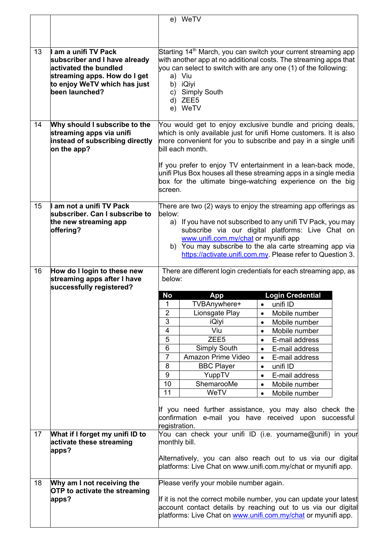|    |                                                             |                                                                                                                  | e) WeTV                                                                                                                                        |                        |                                 |  |  |
|----|-------------------------------------------------------------|------------------------------------------------------------------------------------------------------------------|------------------------------------------------------------------------------------------------------------------------------------------------|------------------------|---------------------------------|--|--|
|    |                                                             |                                                                                                                  |                                                                                                                                                |                        |                                 |  |  |
|    |                                                             |                                                                                                                  |                                                                                                                                                |                        |                                 |  |  |
|    |                                                             |                                                                                                                  |                                                                                                                                                |                        |                                 |  |  |
| 13 | am a unifi TV Pack                                          |                                                                                                                  | Starting 14 <sup>th</sup> March, you can switch your current streaming app<br>with another app at no additional costs. The streaming apps that |                        |                                 |  |  |
|    | subscriber and I have already<br>activated the bundled      |                                                                                                                  | you can select to switch with are any one (1) of the following:                                                                                |                        |                                 |  |  |
|    | streaming apps. How do I get                                |                                                                                                                  | a) Viu                                                                                                                                         |                        |                                 |  |  |
|    | to enjoy WeTV which has just                                |                                                                                                                  | b) iQiyi                                                                                                                                       |                        |                                 |  |  |
|    | been launched?                                              | C)                                                                                                               | <b>Simply South</b>                                                                                                                            |                        |                                 |  |  |
|    |                                                             |                                                                                                                  | d) ZEE5                                                                                                                                        |                        |                                 |  |  |
|    |                                                             |                                                                                                                  | e) WeTV                                                                                                                                        |                        |                                 |  |  |
| 14 | Why should I subscribe to the                               |                                                                                                                  | You would get to enjoy exclusive bundle and pricing deals,                                                                                     |                        |                                 |  |  |
|    | streaming apps via unifi                                    |                                                                                                                  | which is only available just for unifi Home customers. It is also                                                                              |                        |                                 |  |  |
|    | instead of subscribing directly                             |                                                                                                                  | more convenient for you to subscribe and pay in a single unifi                                                                                 |                        |                                 |  |  |
|    | on the app?                                                 |                                                                                                                  | bill each month.                                                                                                                               |                        |                                 |  |  |
|    |                                                             |                                                                                                                  |                                                                                                                                                |                        |                                 |  |  |
|    |                                                             |                                                                                                                  | If you prefer to enjoy TV entertainment in a lean-back mode,<br>unifi Plus Box houses all these streaming apps in a single media               |                        |                                 |  |  |
|    |                                                             |                                                                                                                  | box for the ultimate binge-watching experience on the big                                                                                      |                        |                                 |  |  |
|    |                                                             | lscreen.                                                                                                         |                                                                                                                                                |                        |                                 |  |  |
|    |                                                             |                                                                                                                  |                                                                                                                                                |                        |                                 |  |  |
| 15 | am not a unifi TV Pack                                      |                                                                                                                  | There are two (2) ways to enjoy the streaming app offerings as                                                                                 |                        |                                 |  |  |
|    | subscriber. Can I subscribe to<br>the new streaming app     | below:                                                                                                           |                                                                                                                                                |                        |                                 |  |  |
|    | offering?                                                   | a) If you have not subscribed to any unifi TV Pack, you may<br>subscribe via our digital platforms: Live Chat on |                                                                                                                                                |                        |                                 |  |  |
|    |                                                             | www.unifi.com.my/chat or myunifi app                                                                             |                                                                                                                                                |                        |                                 |  |  |
|    |                                                             | b) You may subscribe to the ala carte streaming app via                                                          |                                                                                                                                                |                        |                                 |  |  |
|    |                                                             | https://activate.unifi.com.my Please refer to Question 3.                                                        |                                                                                                                                                |                        |                                 |  |  |
|    | How do I login to these new                                 | There are different login credentials for each streaming app, as                                                 |                                                                                                                                                |                        |                                 |  |  |
|    |                                                             |                                                                                                                  | below:                                                                                                                                         |                        |                                 |  |  |
| 16 |                                                             |                                                                                                                  |                                                                                                                                                |                        |                                 |  |  |
|    | streaming apps after I have<br>successfully registered?     |                                                                                                                  |                                                                                                                                                |                        |                                 |  |  |
|    |                                                             | <b>No</b>                                                                                                        | <b>App</b>                                                                                                                                     |                        | <b>Login Credential</b>         |  |  |
|    |                                                             | 1                                                                                                                | TVBAnywhere+                                                                                                                                   | $\bullet$              | unifi ID                        |  |  |
|    |                                                             | $\overline{2}$                                                                                                   | Lionsgate Play                                                                                                                                 | $\bullet$              | Mobile number                   |  |  |
|    |                                                             | $\overline{3}$                                                                                                   | iQiyi                                                                                                                                          | $\bullet$              | Mobile number                   |  |  |
|    |                                                             | $\overline{\mathbf{4}}$                                                                                          | Viu                                                                                                                                            | $\bullet$              | Mobile number                   |  |  |
|    |                                                             | 5                                                                                                                | ZEE <sub>5</sub>                                                                                                                               | $\bullet$              | E-mail address                  |  |  |
|    |                                                             | 6                                                                                                                | <b>Simply South</b>                                                                                                                            | $\bullet$              | E-mail address                  |  |  |
|    |                                                             | $\overline{7}$                                                                                                   | Amazon Prime Video                                                                                                                             | $\bullet$              | E-mail address                  |  |  |
|    |                                                             | 8<br>9                                                                                                           | <b>BBC Player</b>                                                                                                                              | $\bullet$<br>$\bullet$ | unifi ID                        |  |  |
|    |                                                             | 10                                                                                                               | YuppTV<br>ShemarooMe                                                                                                                           | $\bullet$              | E-mail address<br>Mobile number |  |  |
|    |                                                             | 11                                                                                                               | WeTV                                                                                                                                           | $\bullet$              | Mobile number                   |  |  |
|    |                                                             |                                                                                                                  |                                                                                                                                                |                        |                                 |  |  |
|    |                                                             |                                                                                                                  | If you need further assistance, you may also check the                                                                                         |                        |                                 |  |  |
|    |                                                             |                                                                                                                  | confirmation e-mail you have received upon successful                                                                                          |                        |                                 |  |  |
|    |                                                             | registration.                                                                                                    |                                                                                                                                                |                        |                                 |  |  |
| 17 | What if I forget my unifi ID to<br>activate these streaming | monthly bill.                                                                                                    | You can check your unifi ID (i.e. yourname@unifi) in your                                                                                      |                        |                                 |  |  |
|    | apps?                                                       |                                                                                                                  |                                                                                                                                                |                        |                                 |  |  |
|    |                                                             |                                                                                                                  | Alternatively, you can also reach out to us via our digital                                                                                    |                        |                                 |  |  |
|    |                                                             |                                                                                                                  | platforms: Live Chat on www.unifi.com.my/chat or myunifi app.                                                                                  |                        |                                 |  |  |
| 18 | Why am I not receiving the                                  |                                                                                                                  | Please verify your mobile number again.                                                                                                        |                        |                                 |  |  |
|    | <b>OTP</b> to activate the streaming                        |                                                                                                                  |                                                                                                                                                |                        |                                 |  |  |
|    | apps?                                                       |                                                                                                                  | If it is not the correct mobile number, you can update your latest                                                                             |                        |                                 |  |  |
|    |                                                             |                                                                                                                  | account contact details by reaching out to us via our digital<br>platforms: Live Chat on www.unifi.com.my/chat or myunifi app.                 |                        |                                 |  |  |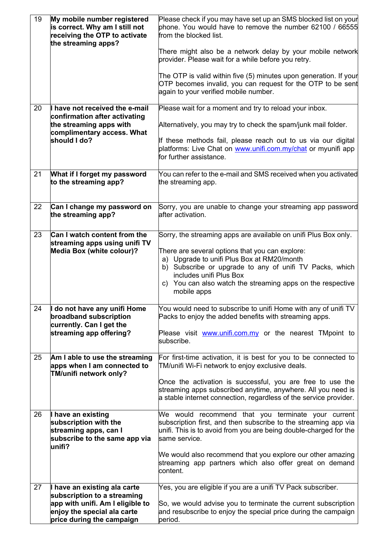| 19 | My mobile number registered<br>is correct. Why am I still not<br>receiving the OTP to activate<br>the streaming apps? | Please check if you may have set up an SMS blocked list on your<br>phone. You would have to remove the number 62100 / 66555<br>from the blocked list.                                                                                                            |
|----|-----------------------------------------------------------------------------------------------------------------------|------------------------------------------------------------------------------------------------------------------------------------------------------------------------------------------------------------------------------------------------------------------|
|    |                                                                                                                       | There might also be a network delay by your mobile network<br>provider. Please wait for a while before you retry.                                                                                                                                                |
|    |                                                                                                                       | The OTP is valid within five (5) minutes upon generation. If your<br>OTP becomes invalid, you can request for the OTP to be sent<br>again to your verified mobile number.                                                                                        |
| 20 | have not received the e-mail<br>confirmation after activating                                                         | Please wait for a moment and try to reload your inbox.                                                                                                                                                                                                           |
|    | the streaming apps with<br>complimentary access. What                                                                 | Alternatively, you may try to check the spam/junk mail folder.                                                                                                                                                                                                   |
|    | should I do?                                                                                                          | If these methods fail, please reach out to us via our digital<br>platforms: Live Chat on www.unifi.com.my/chat or myunifi app<br>for further assistance.                                                                                                         |
| 21 | What if I forget my password<br>to the streaming app?                                                                 | You can refer to the e-mail and SMS received when you activated<br>the streaming app.                                                                                                                                                                            |
| 22 | Can I change my password on<br>the streaming app?                                                                     | Sorry, you are unable to change your streaming app password<br>after activation.                                                                                                                                                                                 |
| 23 | Can I watch content from the<br>streaming apps using unifi TV                                                         | Sorry, the streaming apps are available on unifi Plus Box only.                                                                                                                                                                                                  |
|    | <b>Media Box (white colour)?</b>                                                                                      | There are several options that you can explore:<br>a) Upgrade to unifi Plus Box at RM20/month<br>b) Subscribe or upgrade to any of unifi TV Packs, which<br>includes unifi Plus Box<br>c) You can also watch the streaming apps on the respective<br>mobile apps |
| 24 | do not have any unifi Home<br>broadband subscription                                                                  | You would need to subscribe to unifi Home with any of unifi TV<br>Packs to enjoy the added benefits with streaming apps.                                                                                                                                         |
|    | currently. Can I get the<br>streaming app offering?                                                                   | Please visit www.unifi.com.my or the nearest TMpoint to<br>subscribe.                                                                                                                                                                                            |
| 25 | Am I able to use the streaming<br>apps when I am connected to<br>TM/unifi network only?                               | For first-time activation, it is best for you to be connected to<br>TM/unifi Wi-Fi network to enjoy exclusive deals.                                                                                                                                             |
|    |                                                                                                                       | Once the activation is successful, you are free to use the<br>streaming apps subscribed anytime, anywhere. All you need is<br>a stable internet connection, regardless of the service provider.                                                                  |
| 26 | I have an existing<br>subscription with the<br>streaming apps, can I<br>subscribe to the same app via                 | We would recommend that you terminate your current<br>subscription first, and then subscribe to the streaming app via<br>unifi. This is to avoid from you are being double-charged for the<br>same service.                                                      |
|    | lunifi?                                                                                                               | We would also recommend that you explore our other amazing<br>streaming app partners which also offer great on demand<br>content.                                                                                                                                |
| 27 | I have an existing ala carte<br>subscription to a streaming                                                           | Yes, you are eligible if you are a unifi TV Pack subscriber.                                                                                                                                                                                                     |
|    | app with unifi. Am I eligible to<br>enjoy the special ala carte<br>price during the campaign                          | So, we would advise you to terminate the current subscription<br>and resubscribe to enjoy the special price during the campaign<br>period.                                                                                                                       |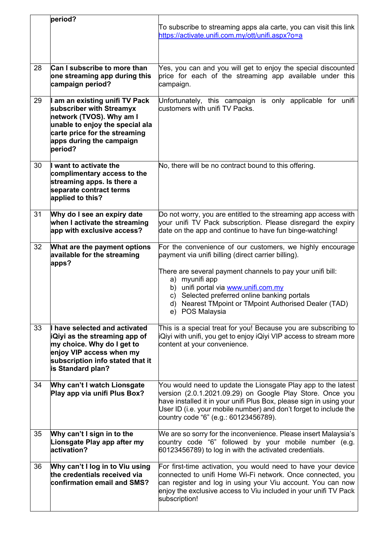|    | period?                                                                                                                                                                                           | To subscribe to streaming apps ala carte, you can visit this link<br>https://activate.unifi.com.my/ott/unifi.aspx?o=a                                                                                                                                                                                                                                                |
|----|---------------------------------------------------------------------------------------------------------------------------------------------------------------------------------------------------|----------------------------------------------------------------------------------------------------------------------------------------------------------------------------------------------------------------------------------------------------------------------------------------------------------------------------------------------------------------------|
| 28 | Can I subscribe to more than<br>one streaming app during this<br>campaign period?                                                                                                                 | Yes, you can and you will get to enjoy the special discounted<br>price for each of the streaming app available under this<br>campaign.                                                                                                                                                                                                                               |
| 29 | I am an existing unifi TV Pack<br>subscriber with Streamyx<br>network (TVOS). Why am I<br>unable to enjoy the special ala<br>carte price for the streaming<br>apps during the campaign<br>period? | Unfortunately, this campaign is only applicable for unifi<br>customers with unifi TV Packs.                                                                                                                                                                                                                                                                          |
| 30 | I want to activate the<br>complimentary access to the<br>streaming apps. Is there a<br>separate contract terms<br>applied to this?                                                                | No, there will be no contract bound to this offering.                                                                                                                                                                                                                                                                                                                |
| 31 | Why do I see an expiry date<br>when I activate the streaming<br>app with exclusive access?                                                                                                        | Do not worry, you are entitled to the streaming app access with<br>your unifi TV Pack subscription. Please disregard the expiry<br>date on the app and continue to have fun binge-watching!                                                                                                                                                                          |
| 32 | What are the payment options<br>available for the streaming<br>apps?                                                                                                                              | For the convenience of our customers, we highly encourage<br>payment via unifi billing (direct carrier billing).<br>There are several payment channels to pay your unifi bill:<br>a) myunifi app<br>b) unifi portal via www.unifi.com.my<br>c) Selected preferred online banking portals<br>d) Nearest TMpoint or TMpoint Authorised Dealer (TAD)<br>e) POS Malaysia |
| 33 | I have selected and activated<br><b>iQiyi as the streaming app of</b><br>my choice. Why do I get to<br>enjoy VIP access when my<br>subscription info stated that it<br>is Standard plan?          | This is a special treat for you! Because you are subscribing to<br> iQiyi with unifi, you get to enjoy iQiyi VIP access to stream more<br>content at your convenience.                                                                                                                                                                                               |
| 34 | Why can't I watch Lionsgate<br>Play app via unifi Plus Box?                                                                                                                                       | You would need to update the Lionsgate Play app to the latest<br>version (2.0.1.2021.09.29) on Google Play Store. Once you<br>have installed it in your unifi Plus Box, please sign in using your<br>User ID (i.e. your mobile number) and don't forget to include the<br>country code "6" (e.g.: 60123456789).                                                      |
| 35 | Why can't I sign in to the<br>Lionsgate Play app after my<br>activation?                                                                                                                          | We are so sorry for the inconvenience. Please insert Malaysia's<br>country code "6" followed by your mobile number (e.g.<br>60123456789) to log in with the activated credentials.                                                                                                                                                                                   |
| 36 | Why can't I log in to Viu using<br>the credentials received via<br>confirmation email and SMS?                                                                                                    | For first-time activation, you would need to have your device<br>connected to unifi Home Wi-Fi network. Once connected, you<br>can register and log in using your Viu account. You can now<br>enjoy the exclusive access to Viu included in your unifi TV Pack<br>subscription!                                                                                      |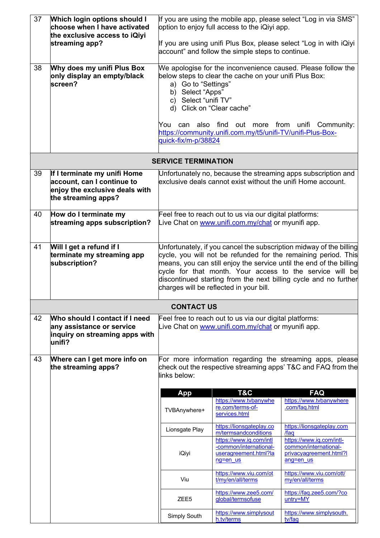| 37<br>38 | <b>Which login options should I</b><br>choose when I have activated<br>the exclusive access to iQiyi<br>streaming app?<br>Why does my unifi Plus Box | If you are using the mobile app, please select "Log in via SMS"<br>option to enjoy full access to the iQiyi app.<br>If you are using unifi Plus Box, please select "Log in with iQiyi<br>account" and follow the simple steps to continue.<br>We apologise for the inconvenience caused. Please follow the                                                                              |                                                                                                               |                                                                                                                            |  |  |
|----------|------------------------------------------------------------------------------------------------------------------------------------------------------|-----------------------------------------------------------------------------------------------------------------------------------------------------------------------------------------------------------------------------------------------------------------------------------------------------------------------------------------------------------------------------------------|---------------------------------------------------------------------------------------------------------------|----------------------------------------------------------------------------------------------------------------------------|--|--|
|          | only display an empty/black<br>screen?                                                                                                               | below steps to clear the cache on your unifi Plus Box:<br>a) Go to "Settings"<br>Select "Apps"<br>b)<br>c) Select "unifi TV"<br>d) Click on "Clear cache"<br>You can also find out more from unifi Community:<br>https://community.unifi.com.my/t5/unifi-TV/unifi-Plus-Box-<br>quick-fix/m-p/38824                                                                                      |                                                                                                               |                                                                                                                            |  |  |
|          |                                                                                                                                                      | <b>SERVICE TERMINATION</b>                                                                                                                                                                                                                                                                                                                                                              |                                                                                                               |                                                                                                                            |  |  |
| 39       | If I terminate my unifi Home<br>account, can I continue to<br>enjoy the exclusive deals with<br>the streaming apps?                                  |                                                                                                                                                                                                                                                                                                                                                                                         | exclusive deals cannot exist without the unifi Home account.                                                  | Unfortunately no, because the streaming apps subscription and                                                              |  |  |
| 40       | How do I terminate my<br>streaming apps subscription?                                                                                                | Feel free to reach out to us via our digital platforms:<br>Live Chat on www.unifi.com.my/chat or myunifi app.                                                                                                                                                                                                                                                                           |                                                                                                               |                                                                                                                            |  |  |
| 41       | Will I get a refund if I<br>terminate my streaming app<br>subscription?                                                                              | Unfortunately, if you cancel the subscription midway of the billing<br>cycle, you will not be refunded for the remaining period. This<br>means, you can still enjoy the service until the end of the billing<br>cycle for that month. Your access to the service will be<br>discontinued starting from the next billing cycle and no further<br>charges will be reflected in your bill. |                                                                                                               |                                                                                                                            |  |  |
|          |                                                                                                                                                      | <b>CONTACT US</b>                                                                                                                                                                                                                                                                                                                                                                       |                                                                                                               |                                                                                                                            |  |  |
| 42       | Who should I contact if I need<br>any assistance or service<br>inquiry on streaming apps with<br>unifi?                                              |                                                                                                                                                                                                                                                                                                                                                                                         | Feel free to reach out to us via our digital platforms:<br>Live Chat on www.unifi.com.my/chat or myunifi app. |                                                                                                                            |  |  |
| 43       | Where can I get more info on<br>the streaming apps?                                                                                                  | links below:                                                                                                                                                                                                                                                                                                                                                                            |                                                                                                               | For more information regarding the streaming apps, please<br>check out the respective streaming apps' T&C and FAQ from the |  |  |
|          |                                                                                                                                                      | <b>App</b>                                                                                                                                                                                                                                                                                                                                                                              | T&C<br>https://www.tvbanywhe                                                                                  | <b>FAQ</b><br>https://www.tvbanywhere                                                                                      |  |  |
|          |                                                                                                                                                      | TVBAnywhere+                                                                                                                                                                                                                                                                                                                                                                            | re.com/terms-of-<br>services.html                                                                             | .com/faq.html                                                                                                              |  |  |
|          |                                                                                                                                                      | Lionsgate Play                                                                                                                                                                                                                                                                                                                                                                          | https://lionsgateplay.co<br>m/termsandconditions                                                              | https://lionsgateplay.com<br>/faq                                                                                          |  |  |
|          |                                                                                                                                                      | iQiyi                                                                                                                                                                                                                                                                                                                                                                                   | https://www.iq.com/intl<br>-common/international-<br>useragreement.html?la<br>ng=en us                        | https://www.ig.com/intl-<br>common/international-<br>privacyagreement.html?l<br>ang=en us                                  |  |  |
|          |                                                                                                                                                      | Viu                                                                                                                                                                                                                                                                                                                                                                                     | https://www.viu.com/ot<br>t/my/en/all/terms                                                                   | https://www.viu.com/ott/<br>my/en/all/terms                                                                                |  |  |
|          |                                                                                                                                                      | ZEE <sub>5</sub>                                                                                                                                                                                                                                                                                                                                                                        | https://www.zee5.com/<br>global/termsofuse                                                                    | https://faq.zee5.com/?co<br>untry=MY                                                                                       |  |  |
|          |                                                                                                                                                      | Simply South                                                                                                                                                                                                                                                                                                                                                                            | https://www.simplysout<br>h.tv/terms                                                                          | https://www.simplysouth.<br>tv/faq                                                                                         |  |  |